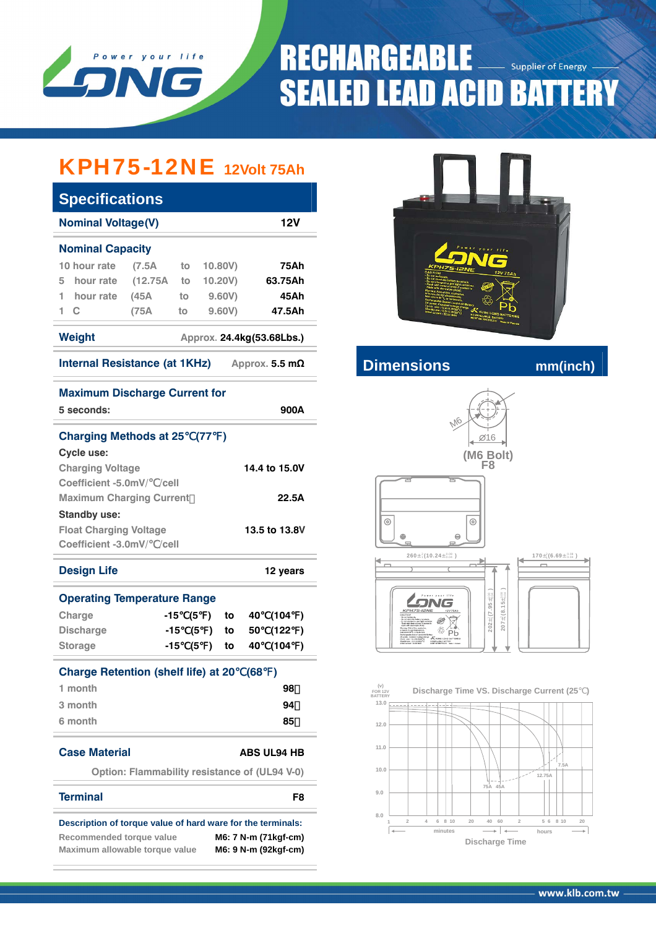

# **RECHARGEABLE** Supplier of Energy **SEALED LEAD ACID BATTERY**

## KPH75-12NE **12Volt 75Ah**

| <b>Specifications</b>                                       |                                               |     |                     |               |      |                           |           |  |
|-------------------------------------------------------------|-----------------------------------------------|-----|---------------------|---------------|------|---------------------------|-----------|--|
| <b>Nominal Voltage(V)</b><br>12V                            |                                               |     |                     |               |      |                           |           |  |
| <b>Nominal Capacity</b>                                     |                                               |     |                     |               |      |                           |           |  |
| 10 hour rate                                                | (7.5A)                                        | to  |                     | 10.80V)       | 75Ah |                           |           |  |
| hour rate<br>5                                              | (12.75A to                                    |     |                     | 10.20V)       |      | 63.75Ah                   |           |  |
| hour rate<br>1                                              | (45A)                                         | to  |                     | 9.60V)        |      | 45Ah                      |           |  |
| 1<br>C                                                      | (75A                                          | to  |                     | 9.60V         |      | 47.5Ah                    |           |  |
| <b>Weight</b>                                               |                                               |     |                     |               |      | Approx. 24.4kg(53.68Lbs.) |           |  |
| <b>Internal Resistance (at 1KHz)</b>                        |                                               |     |                     |               |      | Approx. 5.5 $m\Omega$     |           |  |
| <b>Maximum Discharge Current for</b>                        |                                               |     |                     |               |      |                           |           |  |
| 5 seconds:                                                  |                                               |     |                     |               |      | 900A                      |           |  |
| <b>Charging Methods at 25</b>                               |                                               |     | (77)                | $\rightarrow$ |      |                           |           |  |
| Cycle use:                                                  |                                               |     |                     |               |      |                           |           |  |
| <b>Charging Voltage</b>                                     |                                               |     |                     |               |      | 14.4 to 15.0V             |           |  |
| Coefficient -5.0mV/ /cell                                   |                                               |     |                     |               |      |                           |           |  |
| <b>Maximum Charging Current</b><br>22.5A                    |                                               |     |                     |               |      |                           |           |  |
| <b>Standby use:</b>                                         |                                               |     |                     |               |      |                           |           |  |
| <b>Float Charging Voltage</b>                               |                                               |     |                     |               |      | 13.5 to 13.8V             |           |  |
| Coefficient -3.0mV/ /cell                                   |                                               |     |                     |               |      |                           |           |  |
| <b>Design Life</b>                                          |                                               |     |                     |               |      | 12 years                  |           |  |
| <b>Operating Temperature Range</b>                          |                                               |     |                     |               |      |                           |           |  |
| Charge                                                      | -15                                           |     | (5<br>$\mathcal{L}$ | to            | 40   | (104                      | $\lambda$ |  |
| <b>Discharge</b>                                            |                                               | -15 | (5<br>$\mathbf{L}$  | to            | 50   | (122                      | )         |  |
| <b>Storage</b>                                              | -15                                           |     | (5<br>$\mathcal{L}$ | to            | 40   | (104                      | $\lambda$ |  |
| <b>Charge Retention (shelf life) at 20</b>                  |                                               |     |                     |               | (68) | )                         |           |  |
| 1 month                                                     |                                               |     |                     |               |      | 98                        |           |  |
| 3 month                                                     |                                               |     |                     |               |      | 94                        |           |  |
| 6 month                                                     |                                               |     |                     |               |      | 85                        |           |  |
| <b>Case Material</b>                                        |                                               |     |                     |               |      | <b>ABS UL94 HB</b>        |           |  |
|                                                             | Option: Flammability resistance of (UL94 V-0) |     |                     |               |      |                           |           |  |
| <b>Terminal</b>                                             |                                               |     |                     |               |      |                           | F8        |  |
| Description of torque value of hard ware for the terminals: |                                               |     |                     |               |      |                           |           |  |
| Recommended torque value                                    |                                               |     |                     |               |      | M6: 7 N-m (71kgf-cm)      |           |  |
| Maximum allowable torque value                              |                                               |     |                     |               |      | M6: 9 N-m (92kgf-cm)      |           |  |



### **Internal Resistance (a)** manufacturer mm(inch)